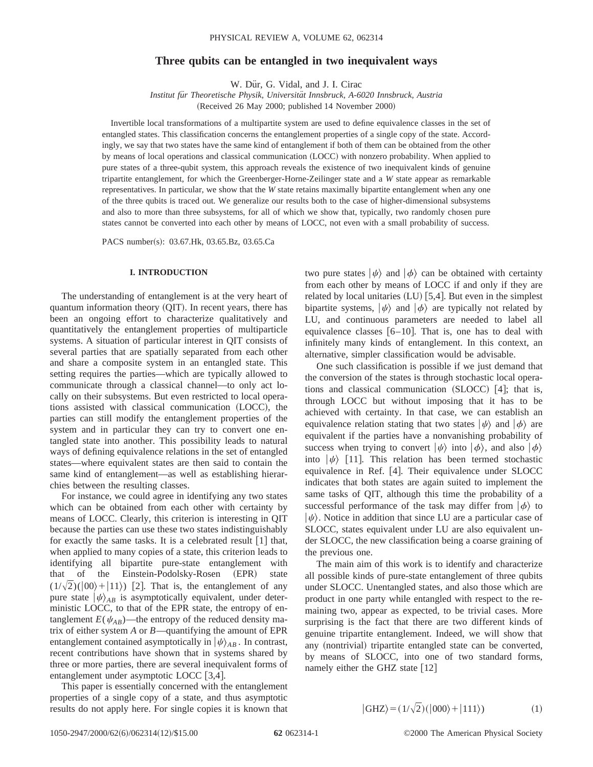## **Three qubits can be entangled in two inequivalent ways**

W. Dür, G. Vidal, and J. I. Cirac

*Institut fu¨r Theoretische Physik, Universita¨t Innsbruck, A-6020 Innsbruck, Austria* (Received 26 May 2000; published 14 November 2000)

Invertible local transformations of a multipartite system are used to define equivalence classes in the set of entangled states. This classification concerns the entanglement properties of a single copy of the state. Accordingly, we say that two states have the same kind of entanglement if both of them can be obtained from the other by means of local operations and classical communication (LOCC) with nonzero probability. When applied to pure states of a three-qubit system, this approach reveals the existence of two inequivalent kinds of genuine tripartite entanglement, for which the Greenberger-Horne-Zeilinger state and a *W* state appear as remarkable representatives. In particular, we show that the *W* state retains maximally bipartite entanglement when any one of the three qubits is traced out. We generalize our results both to the case of higher-dimensional subsystems and also to more than three subsystems, for all of which we show that, typically, two randomly chosen pure states cannot be converted into each other by means of LOCC, not even with a small probability of success.

PACS number(s): 03.67.Hk, 03.65.Bz, 03.65.Ca

## **I. INTRODUCTION**

The understanding of entanglement is at the very heart of quantum information theory  $(QIT)$ . In recent years, there has been an ongoing effort to characterize qualitatively and quantitatively the entanglement properties of multiparticle systems. A situation of particular interest in QIT consists of several parties that are spatially separated from each other and share a composite system in an entangled state. This setting requires the parties—which are typically allowed to communicate through a classical channel—to only act locally on their subsystems. But even restricted to local operations assisted with classical communication (LOCC), the parties can still modify the entanglement properties of the system and in particular they can try to convert one entangled state into another. This possibility leads to natural ways of defining equivalence relations in the set of entangled states—where equivalent states are then said to contain the same kind of entanglement—as well as establishing hierarchies between the resulting classes.

For instance, we could agree in identifying any two states which can be obtained from each other with certainty by means of LOCC. Clearly, this criterion is interesting in QIT because the parties can use these two states indistinguishably for exactly the same tasks. It is a celebrated result  $\lceil 1 \rceil$  that, when applied to many copies of a state, this criterion leads to identifying all bipartite pure-state entanglement with that of the Einstein-Podolsky-Rosen (EPR) state  $(1/\sqrt{2})(|00\rangle+|11\rangle)$  [2]. That is, the entanglement of any pure state  $|\psi\rangle_{AB}$  is asymptotically equivalent, under deterministic LOCC, to that of the EPR state, the entropy of entanglement  $E(\psi_{AB})$ —the entropy of the reduced density matrix of either system *A* or *B*—quantifying the amount of EPR entanglement contained asymptotically in  $|\psi\rangle_{AB}$ . In contrast, recent contributions have shown that in systems shared by three or more parties, there are several inequivalent forms of entanglement under asymptotic LOCC  $[3,4]$ .

This paper is essentially concerned with the entanglement properties of a single copy of a state, and thus asymptotic results do not apply here. For single copies it is known that

two pure states  $|\psi\rangle$  and  $|\phi\rangle$  can be obtained with certainty from each other by means of LOCC if and only if they are related by local unitaries  $(LU)$  [5,4]. But even in the simplest bipartite systems,  $|\psi\rangle$  and  $|\phi\rangle$  are typically not related by LU, and continuous parameters are needed to label all equivalence classes  $[6–10]$ . That is, one has to deal with infinitely many kinds of entanglement. In this context, an alternative, simpler classification would be advisable.

One such classification is possible if we just demand that the conversion of the states is through stochastic local operations and classical communication  $(SLOCC)$  [4]; that is, through LOCC but without imposing that it has to be achieved with certainty. In that case, we can establish an equivalence relation stating that two states  $|\psi\rangle$  and  $|\phi\rangle$  are equivalent if the parties have a nonvanishing probability of success when trying to convert  $|\psi\rangle$  into  $|\phi\rangle$ , and also  $|\phi\rangle$ into  $|\psi\rangle$  [11]. This relation has been termed stochastic equivalence in Ref.  $[4]$ . Their equivalence under SLOCC indicates that both states are again suited to implement the same tasks of QIT, although this time the probability of a successful performance of the task may differ from  $|\phi\rangle$  to  $|\psi\rangle$ . Notice in addition that since LU are a particular case of SLOCC, states equivalent under LU are also equivalent under SLOCC, the new classification being a coarse graining of the previous one.

The main aim of this work is to identify and characterize all possible kinds of pure-state entanglement of three qubits under SLOCC. Unentangled states, and also those which are product in one party while entangled with respect to the remaining two, appear as expected, to be trivial cases. More surprising is the fact that there are two different kinds of genuine tripartite entanglement. Indeed, we will show that any (nontrivial) tripartite entangled state can be converted, by means of SLOCC, into one of two standard forms, namely either the GHZ state  $[12]$ 

$$
|\text{GHZ}\rangle = (1/\sqrt{2})(|000\rangle + |111\rangle)
$$
 (1)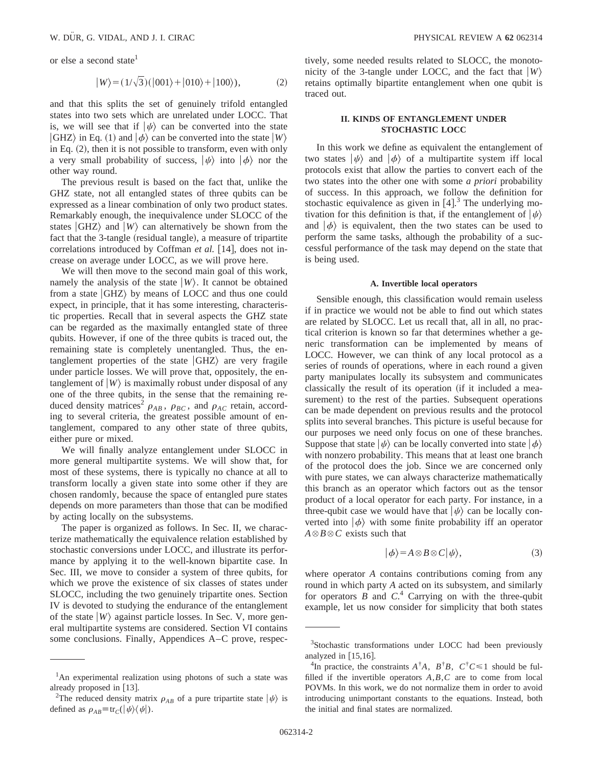or else a second state<sup>1</sup>

$$
|W\rangle = (1/\sqrt{3})(|001\rangle + |010\rangle + |100\rangle), \tag{2}
$$

and that this splits the set of genuinely trifold entangled states into two sets which are unrelated under LOCC. That is, we will see that if  $|\psi\rangle$  can be converted into the state  $|GHZ\rangle$  in Eq. (1) and  $|\phi\rangle$  can be converted into the state  $|W\rangle$ in Eq.  $(2)$ , then it is not possible to transform, even with only a very small probability of success,  $|\psi\rangle$  into  $|\phi\rangle$  nor the other way round.

The previous result is based on the fact that, unlike the GHZ state, not all entangled states of three qubits can be expressed as a linear combination of only two product states. Remarkably enough, the inequivalence under SLOCC of the states  $|GHZ\rangle$  and  $|W\rangle$  can alternatively be shown from the fact that the 3-tangle (residual tangle), a measure of tripartite correlations introduced by Coffman *et al.* [14], does not increase on average under LOCC, as we will prove here.

We will then move to the second main goal of this work, namely the analysis of the state  $|W\rangle$ . It cannot be obtained from a state  $|GHZ\rangle$  by means of LOCC and thus one could expect, in principle, that it has some interesting, characteristic properties. Recall that in several aspects the GHZ state can be regarded as the maximally entangled state of three qubits. However, if one of the three qubits is traced out, the remaining state is completely unentangled. Thus, the entanglement properties of the state  $|GHZ\rangle$  are very fragile under particle losses. We will prove that, oppositely, the entanglement of  $|W\rangle$  is maximally robust under disposal of any one of the three qubits, in the sense that the remaining reduced density matrices<sup>2</sup>  $\rho_{AB}$ ,  $\rho_{BC}$ , and  $\rho_{AC}$  retain, according to several criteria, the greatest possible amount of entanglement, compared to any other state of three qubits, either pure or mixed.

We will finally analyze entanglement under SLOCC in more general multipartite systems. We will show that, for most of these systems, there is typically no chance at all to transform locally a given state into some other if they are chosen randomly, because the space of entangled pure states depends on more parameters than those that can be modified by acting locally on the subsystems.

The paper is organized as follows. In Sec. II, we characterize mathematically the equivalence relation established by stochastic conversions under LOCC, and illustrate its performance by applying it to the well-known bipartite case. In Sec. III, we move to consider a system of three qubits, for which we prove the existence of six classes of states under SLOCC, including the two genuinely tripartite ones. Section IV is devoted to studying the endurance of the entanglement of the state  $|W\rangle$  against particle losses. In Sec. V, more general multipartite systems are considered. Section VI contains some conclusions. Finally, Appendices A–C prove, respectively, some needed results related to SLOCC, the monotonicity of the 3-tangle under LOCC, and the fact that  $|W\rangle$ retains optimally bipartite entanglement when one qubit is traced out.

## **II. KINDS OF ENTANGLEMENT UNDER STOCHASTIC LOCC**

In this work we define as equivalent the entanglement of two states  $|\psi\rangle$  and  $|\phi\rangle$  of a multipartite system iff local protocols exist that allow the parties to convert each of the two states into the other one with some *a priori* probability of success. In this approach, we follow the definition for stochastic equivalence as given in  $[4]$ .<sup>3</sup> The underlying motivation for this definition is that, if the entanglement of  $|\psi\rangle$ and  $|\phi\rangle$  is equivalent, then the two states can be used to perform the same tasks, although the probability of a successful performance of the task may depend on the state that is being used.

#### **A. Invertible local operators**

Sensible enough, this classification would remain useless if in practice we would not be able to find out which states are related by SLOCC. Let us recall that, all in all, no practical criterion is known so far that determines whether a generic transformation can be implemented by means of LOCC. However, we can think of any local protocol as a series of rounds of operations, where in each round a given party manipulates locally its subsystem and communicates classically the result of its operation (if it included a measurement) to the rest of the parties. Subsequent operations can be made dependent on previous results and the protocol splits into several branches. This picture is useful because for our purposes we need only focus on one of these branches. Suppose that state  $|\psi\rangle$  can be locally converted into state  $|\phi\rangle$ with nonzero probability. This means that at least one branch of the protocol does the job. Since we are concerned only with pure states, we can always characterize mathematically this branch as an operator which factors out as the tensor product of a local operator for each party. For instance, in a three-qubit case we would have that  $|\psi\rangle$  can be locally converted into  $|\phi\rangle$  with some finite probability iff an operator  $A \otimes B \otimes C$  exists such that

$$
|\phi\rangle = A \otimes B \otimes C|\psi\rangle, \tag{3}
$$

where operator *A* contains contributions coming from any round in which party *A* acted on its subsystem, and similarly for operators  $\overline{B}$  and  $\overline{C}$ <sup>4</sup>. Carrying on with the three-qubit example, let us now consider for simplicity that both states

<sup>&</sup>lt;sup>1</sup>An experimental realization using photons of such a state was already proposed in  $[13]$ .

<sup>&</sup>lt;sup>2</sup>The reduced density matrix  $\rho_{AB}$  of a pure tripartite state  $|\psi\rangle$  is defined as  $\rho_{AB} \equiv \text{tr}_C(\vert \psi \rangle \langle \psi \vert)$ .

<sup>&</sup>lt;sup>3</sup>Stochastic transformations under LOCC had been previously analyzed in  $[15,16]$ .

<sup>&</sup>lt;sup>4</sup>In practice, the constraints  $A^{\dagger}A$ ,  $B^{\dagger}B$ ,  $C^{\dagger}C \le 1$  should be fulfilled if the invertible operators *A*,*B*,*C* are to come from local POVMs. In this work, we do not normalize them in order to avoid introducing unimportant constants to the equations. Instead, both the initial and final states are normalized.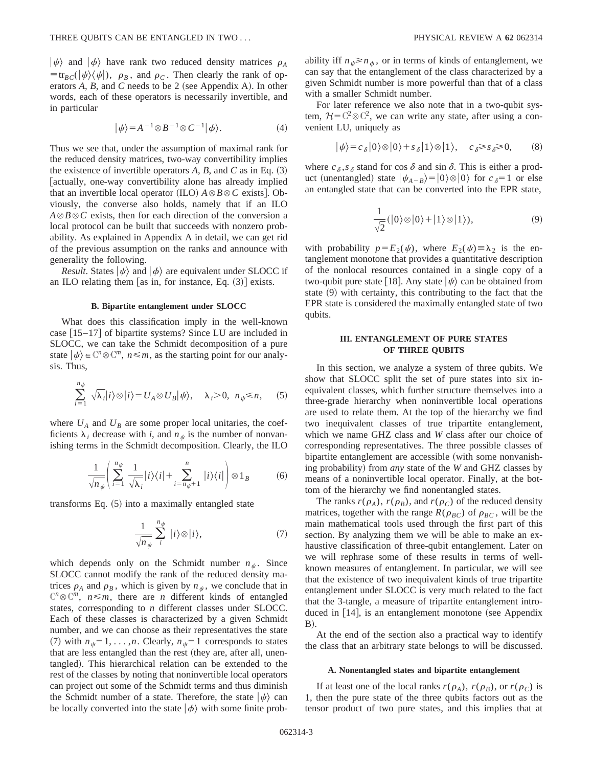$|\psi\rangle$  and  $|\phi\rangle$  have rank two reduced density matrices  $\rho_A$  $\equiv \text{tr}_{BC}(\vert \psi \rangle \langle \psi \vert)$ ,  $\rho_B$ , and  $\rho_C$ . Then clearly the rank of operators  $A$ ,  $B$ , and  $C$  needs to be 2 (see Appendix A). In other words, each of these operators is necessarily invertible, and in particular

$$
|\psi\rangle = A^{-1} \otimes B^{-1} \otimes C^{-1} |\phi\rangle. \tag{4}
$$

Thus we see that, under the assumption of maximal rank for the reduced density matrices, two-way convertibility implies the existence of invertible operators  $A$ ,  $B$ , and  $C$  as in Eq.  $(3)$ [actually, one-way convertibility alone has already implied that an invertible local operator  $(II)$   $A \otimes B \otimes C$  exists. viously, the converse also holds, namely that if an ILO  $A \otimes B \otimes C$  exists, then for each direction of the conversion a local protocol can be built that succeeds with nonzero probability. As explained in Appendix A in detail, we can get rid of the previous assumption on the ranks and announce with generality the following.

*Result*. States  $|\psi\rangle$  and  $|\phi\rangle$  are equivalent under SLOCC if an ILO relating them [as in, for instance, Eq.  $(3)$ ] exists.

#### **B. Bipartite entanglement under SLOCC**

What does this classification imply in the well-known case  $[15-17]$  of bipartite systems? Since LU are included in SLOCC, we can take the Schmidt decomposition of a pure state  $|\psi\rangle \in \mathbb{C}^n \otimes \mathbb{C}^m$ ,  $n \leq m$ , as the starting point for our analysis. Thus,

$$
\sum_{i=1}^{n_{\psi}} \sqrt{\lambda_i} |i\rangle \otimes |i\rangle = U_A \otimes U_B |\psi\rangle, \quad \lambda_i > 0, \ n_{\psi} \le n, \quad (5)
$$

where  $U_A$  and  $U_B$  are some proper local unitaries, the coefficients  $\lambda_i$  decrease with *i*, and  $n_{\psi}$  is the number of nonvanishing terms in the Schmidt decomposition. Clearly, the ILO

$$
\frac{1}{\sqrt{n_{\psi}}} \left( \sum_{i=1}^{n_{\psi}} \frac{1}{\sqrt{\lambda_i}} |i\rangle\langle i| + \sum_{i=n_{\psi}+1}^{n} |i\rangle\langle i| \right) \otimes 1_B \tag{6}
$$

transforms Eq.  $(5)$  into a maximally entangled state

$$
\frac{1}{\sqrt{n_{\psi}}}\sum_{i}^{n_{\psi}}|i\rangle\otimes|i\rangle,\tag{7}
$$

which depends only on the Schmidt number  $n_{\psi}$ . Since SLOCC cannot modify the rank of the reduced density matrices  $\rho_A$  and  $\rho_B$ , which is given by  $n_{\psi}$ , we conclude that in  $C^n \otimes C^m$ ,  $n \leq m$ , there are *n* different kinds of entangled states, corresponding to *n* different classes under SLOCC. Each of these classes is characterized by a given Schmidt number, and we can choose as their representatives the state (7) with  $n_{\psi}=1, \ldots, n$ . Clearly,  $n_{\psi}=1$  corresponds to states that are less entangled than the rest (they are, after all, unentangled). This hierarchical relation can be extended to the rest of the classes by noting that noninvertible local operators can project out some of the Schmidt terms and thus diminish the Schmidt number of a state. Therefore, the state  $|\psi\rangle$  can be locally converted into the state  $|\phi\rangle$  with some finite probability iff  $n_{\psi} \ge n_{\phi}$ , or in terms of kinds of entanglement, we can say that the entanglement of the class characterized by a given Schmidt number is more powerful than that of a class with a smaller Schmidt number.

For later reference we also note that in a two-qubit system,  $H = \mathbb{C}^2 \otimes \mathbb{C}^2$ , we can write any state, after using a convenient LU, uniquely as

$$
|\psi\rangle = c_{\delta} |0\rangle \otimes |0\rangle + s_{\delta} |1\rangle \otimes |1\rangle, \quad c_{\delta} \ge s_{\delta} \ge 0, \tag{8}
$$

where  $c_{\delta}$ ,  $s_{\delta}$  stand for cos  $\delta$  and sin  $\delta$ . This is either a product (unentangled) state  $|\psi_{A-B}\rangle = |0\rangle \otimes |0\rangle$  for  $c_{\delta}=1$  or else an entangled state that can be converted into the EPR state,

$$
\frac{1}{\sqrt{2}}(|0\rangle \otimes |0\rangle + |1\rangle \otimes |1\rangle),\tag{9}
$$

with probability  $p = E_2(\psi)$ , where  $E_2(\psi) \equiv \lambda_2$  is the entanglement monotone that provides a quantitative description of the nonlocal resources contained in a single copy of a two-qubit pure state [18]. Any state  $|\psi\rangle$  can be obtained from state  $(9)$  with certainty, this contributing to the fact that the EPR state is considered the maximally entangled state of two qubits.

## **III. ENTANGLEMENT OF PURE STATES OF THREE QUBITS**

In this section, we analyze a system of three qubits. We show that SLOCC split the set of pure states into six inequivalent classes, which further structure themselves into a three-grade hierarchy when noninvertible local operations are used to relate them. At the top of the hierarchy we find two inequivalent classes of true tripartite entanglement, which we name GHZ class and *W* class after our choice of corresponding representatives. The three possible classes of bipartite entanglement are accessible (with some nonvanishing probability) from *any* state of the *W* and GHZ classes by means of a noninvertible local operator. Finally, at the bottom of the hierarchy we find nonentangled states.

The ranks  $r(\rho_A)$ ,  $r(\rho_B)$ , and  $r(\rho_C)$  of the reduced density matrices, together with the range  $R(\rho_{BC})$  of  $\rho_{BC}$ , will be the main mathematical tools used through the first part of this section. By analyzing them we will be able to make an exhaustive classification of three-qubit entanglement. Later on we will rephrase some of these results in terms of wellknown measures of entanglement. In particular, we will see that the existence of two inequivalent kinds of true tripartite entanglement under SLOCC is very much related to the fact that the 3-tangle, a measure of tripartite entanglement introduced in  $[14]$ , is an entanglement monotone (see Appendix  $B$ ).

At the end of the section also a practical way to identify the class that an arbitrary state belongs to will be discussed.

#### **A. Nonentangled states and bipartite entanglement**

If at least one of the local ranks  $r(\rho_A)$ ,  $r(\rho_B)$ , or  $r(\rho_C)$  is 1, then the pure state of the three qubits factors out as the tensor product of two pure states, and this implies that at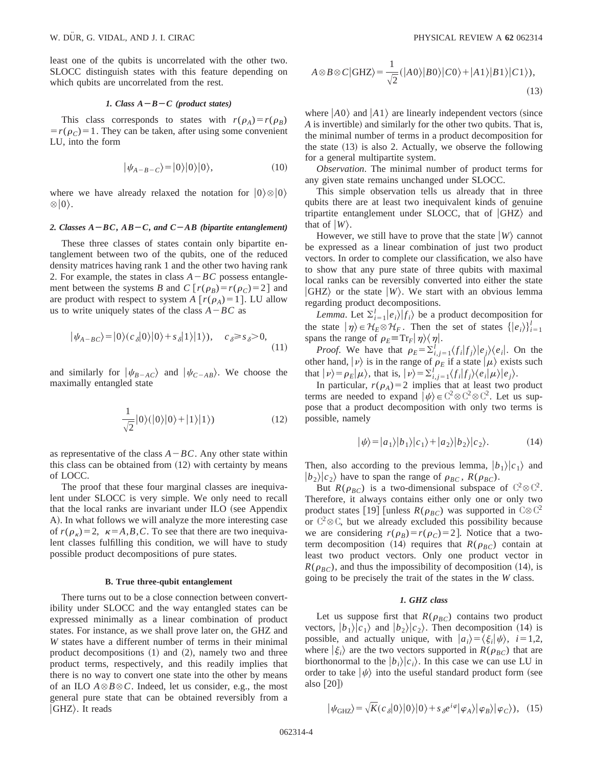least one of the qubits is uncorrelated with the other two. SLOCC distinguish states with this feature depending on which qubits are uncorrelated from the rest.

#### *1. Class*  $A - B - C$  *(product states)*

This class corresponds to states with  $r(\rho_A) = r(\rho_B)$  $=r(\rho_C)=1$ . They can be taken, after using some convenient LU, into the form

$$
|\psi_{A-B-C}\rangle = |0\rangle|0\rangle|0\rangle,\tag{10}
$$

where we have already relaxed the notation for  $|0\rangle \otimes |0\rangle$  $\otimes$  |0).

#### 2. Classes  $A - BC$ ,  $AB - C$ , and  $C - AB$  (bipartite entanglement)

These three classes of states contain only bipartite entanglement between two of the qubits, one of the reduced density matrices having rank 1 and the other two having rank 2. For example, the states in class  $A - BC$  possess entanglement between the systems *B* and  $C\left[r(\rho_B)=r(\rho_C)=2\right]$  and are product with respect to system  $A [r(\rho_A)=1]$ . LU allow us to write uniquely states of the class  $A - BC$  as

$$
|\psi_{A-BC}\rangle = |0\rangle (c_{\delta}|0\rangle |0\rangle + s_{\delta}|1\rangle |1\rangle), \quad c_{\delta} \ge s_{\delta} > 0,
$$
\n(11)

and similarly for  $|\psi_{B-AC}\rangle$  and  $|\psi_{C-AB}\rangle$ . We choose the maximally entangled state

$$
\frac{1}{\sqrt{2}}|0\rangle(|0\rangle|0\rangle+|1\rangle|1\rangle)\tag{12}
$$

as representative of the class  $A - BC$ . Any other state within this class can be obtained from  $(12)$  with certainty by means of LOCC.

The proof that these four marginal classes are inequivalent under SLOCC is very simple. We only need to recall that the local ranks are invariant under ILO (see Appendix A). In what follows we will analyze the more interesting case of  $r(\rho_{\kappa})=2$ ,  $\kappa=A,B,C$ . To see that there are two inequivalent classes fulfilling this condition, we will have to study possible product decompositions of pure states.

#### **B. True three-qubit entanglement**

There turns out to be a close connection between convertibility under SLOCC and the way entangled states can be expressed minimally as a linear combination of product states. For instance, as we shall prove later on, the GHZ and *W* states have a different number of terms in their minimal product decompositions  $(1)$  and  $(2)$ , namely two and three product terms, respectively, and this readily implies that there is no way to convert one state into the other by means of an ILO  $A \otimes B \otimes C$ . Indeed, let us consider, e.g., the most general pure state that can be obtained reversibly from a  $|GHZ\rangle$ . It reads

$$
A \otimes B \otimes C|\text{GHZ}\rangle = \frac{1}{\sqrt{2}}(|A0\rangle|B0\rangle|C0\rangle + |A1\rangle|B1\rangle|C1\rangle),\tag{13}
$$

where  $|A0\rangle$  and  $|A1\rangle$  are linearly independent vectors (since *A* is invertible) and similarly for the other two qubits. That is, the minimal number of terms in a product decomposition for the state  $(13)$  is also 2. Actually, we observe the following for a general multipartite system.

*Observation*. The minimal number of product terms for any given state remains unchanged under SLOCC.

This simple observation tells us already that in three qubits there are at least two inequivalent kinds of genuine tripartite entanglement under SLOCC, that of  $|GHZ\rangle$  and that of  $|W\rangle$ .

However, we still have to prove that the state  $|W\rangle$  cannot be expressed as a linear combination of just two product vectors. In order to complete our classification, we also have to show that any pure state of three qubits with maximal local ranks can be reversibly converted into either the state  $|GHZ\rangle$  or the state  $|W\rangle$ . We start with an obvious lemma regarding product decompositions.

*Lemma*. Let  $\sum_{i=1}^{l} |e_i\rangle |f_i\rangle$  be a product decomposition for the state  $|\eta\rangle \in \mathcal{H}_E \otimes \mathcal{H}_F$ . Then the set of states  $\{|e_i\rangle\}_{i=1}^l$ spans the range of  $\rho_E = Tr_F |\eta\rangle\langle\eta|.$ 

*Proof.* We have that  $\rho_E = \sum_{i,j=1}^l \langle f_i | f_j \rangle |e_j \rangle \langle e_i |$ . On the other hand,  $|\nu\rangle$  is in the range of  $\rho_E$  if a state  $|\mu\rangle$  exists such that  $| \nu \rangle = \rho_E | \mu \rangle$ , that is,  $| \nu \rangle = \sum_{i,j=1}^l \langle f_i | f_j \rangle \langle e_i | \mu \rangle | e_j \rangle$ .

In particular,  $r(\rho_A) = 2$  implies that at least two product terms are needed to expand  $|\psi\rangle \in \mathbb{C}^2 \otimes \mathbb{C}^2 \otimes \mathbb{C}^2$ . Let us suppose that a product decomposition with only two terms is possible, namely

$$
|\psi\rangle = |a_1\rangle|b_1\rangle|c_1\rangle + |a_2\rangle|b_2\rangle|c_2\rangle. \tag{14}
$$

Then, also according to the previous lemma,  $|b_1\rangle|c_1\rangle$  and  $|b_2\rangle|c_2\rangle$  have to span the range of  $\rho_{BC}$ ,  $R(\rho_{BC})$ .

But *R*( $\rho_{BC}$ ) is a two-dimensional subspace of  $C^2 \otimes C^2$ . Therefore, it always contains either only one or only two product states [19] [unless  $R(\rho_{BC})$  was supported in  $C \otimes C^2$ or  $C^2 \otimes C$ , but we already excluded this possibility because we are considering  $r(\rho_B)=r(\rho_C)=2$ . Notice that a twoterm decomposition (14) requires that  $R(\rho_{BC})$  contain at least two product vectors. Only one product vector in  $R(\rho_{BC})$ , and thus the impossibility of decomposition (14), is going to be precisely the trait of the states in the *W* class.

## *1. GHZ class*

Let us suppose first that  $R(\rho_{BC})$  contains two product vectors,  $|b_1\rangle|c_1\rangle$  and  $|b_2\rangle|c_2\rangle$ . Then decomposition (14) is possible, and actually unique, with  $|a_i\rangle = \langle \xi_i | \psi \rangle$ ,  $i = 1,2$ , where  $|\xi_i\rangle$  are the two vectors supported in  $R(\rho_{BC})$  that are biorthonormal to the  $|b_i\rangle|c_i\rangle$ . In this case we can use LU in order to take  $|\psi\rangle$  into the useful standard product form (see also  $|20|$ 

$$
|\psi_{\text{GHZ}}\rangle = \sqrt{K}(c_{\delta}|0\rangle|0\rangle|0\rangle + s_{\delta}e^{i\varphi}|\varphi_{A}\rangle|\varphi_{B}\rangle|\varphi_{C}\rangle), \quad (15)
$$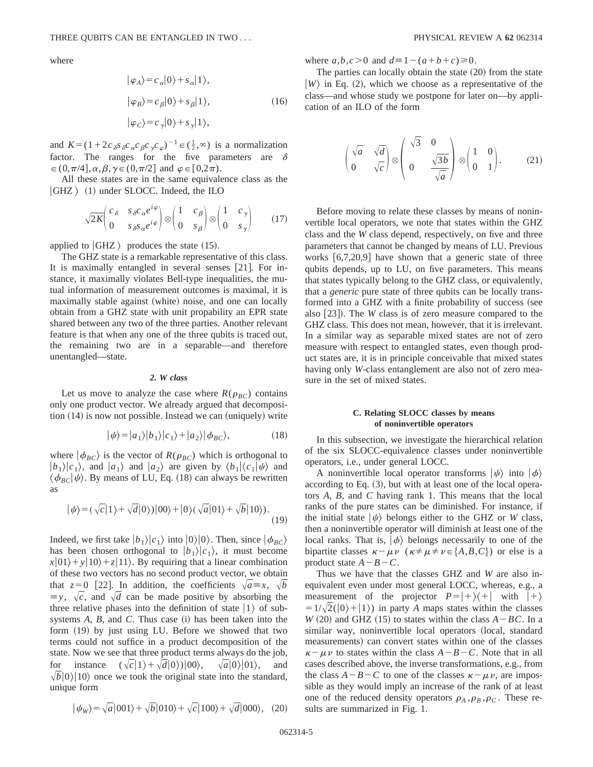where

$$
|\varphi_A\rangle = c_\alpha|0\rangle + s_\alpha|1\rangle,
$$
  
\n
$$
|\varphi_B\rangle = c_\beta|0\rangle + s_\beta|1\rangle,
$$
  
\n
$$
|\varphi_C\rangle = c_\gamma|0\rangle + s_\gamma|1\rangle,
$$
\n(16)

and  $K = (1 + 2c \delta \delta \delta c_{\alpha} c_{\beta} c_{\gamma} c_{\varphi})^{-1} \in (\frac{1}{2}, \infty)$  is a normalization factor. The ranges for the five parameters are  $\delta$  $\epsilon\in(0,\pi/4], \alpha,\beta,\gamma\in(0,\pi/2]$  and  $\varphi\in[0,2\pi)$ .

All these states are in the same equivalence class as the  $|GHZ \rangle$  (1) under SLOCC. Indeed, the ILO

$$
\sqrt{2K} \begin{pmatrix} c_{\delta} & s_{\delta}c_{\alpha}e^{i\varphi} \\ 0 & s_{\delta}s_{\alpha}e^{i\varphi} \end{pmatrix} \otimes \begin{pmatrix} 1 & c_{\beta} \\ 0 & s_{\beta} \end{pmatrix} \otimes \begin{pmatrix} 1 & c_{\gamma} \\ 0 & s_{\gamma} \end{pmatrix}
$$
 (17)

applied to  $|GHZ \rangle$  produces the state (15).

The GHZ state is a remarkable representative of this class. It is maximally entangled in several senses  $[21]$ . For instance, it maximally violates Bell-type inequalities, the mutual information of measurement outcomes is maximal, it is maximally stable against (white) noise, and one can locally obtain from a GHZ state with unit propability an EPR state shared between any two of the three parties. Another relevant feature is that when any one of the three qubits is traced out, the remaining two are in a separable—and therefore unentangled—state.

#### *2. W class*

Let us move to analyze the case where  $R(\rho_{BC})$  contains only one product vector. We already argued that decomposi- $~14$ ) is now not possible. Instead we can (uniquely) write

$$
|\psi\rangle = |a_1\rangle|b_1\rangle|c_1\rangle + |a_2\rangle|\phi_{BC}\rangle, \tag{18}
$$

where  $|\phi_{BC}\rangle$  is the vector of *R*( $\rho_{BC}$ ) which is orthogonal to  $|b_1\rangle |c_1\rangle$ , and  $|a_1\rangle$  and  $|a_2\rangle$  are given by  $\langle b_1|\langle c_1|\psi\rangle$  and  $\langle \phi_{BC} | \psi \rangle$ . By means of LU, Eq. (18) can always be rewritten as

$$
|\psi\rangle = (\sqrt{c}|1\rangle + \sqrt{d}|0\rangle)|00\rangle + |0\rangle(\sqrt{a}|01\rangle + \sqrt{b}|10\rangle).
$$
\n(19)

Indeed, we first take  $|b_1\rangle|c_1\rangle$  into  $|0\rangle|0\rangle$ . Then, since  $|\phi_{BC}\rangle$ has been chosen orthogonal to  $|b_1\rangle|c_1\rangle$ , it must become  $x|01\rangle + y|10\rangle + z|11\rangle$ . By requiring that a linear combination of these two vectors has no second product vector, we obtain that  $z=0$  [22]. In addition, the coefficients  $\sqrt{a} \equiv x$ ,  $\sqrt{b}$  $\equiv y$ ,  $\sqrt{c}$ , and  $\sqrt{d}$  can be made positive by absorbing the three relative phases into the definition of state  $|1\rangle$  of subsystems  $A$ ,  $B$ , and  $C$ . Thus case  $(i)$  has been taken into the form  $(19)$  by just using LU. Before we showed that two terms could not suffice in a product decomposition of the state. Now we see that three product terms always do the job, for instance  $(\sqrt{c}|1\rangle + \sqrt{d}|0\rangle)|00\rangle$ ,  $\sqrt{a}|0\rangle|01\rangle$ , and  $\sqrt{b}$ (0)(10) once we took the original state into the standard, unique form

where  $a, b, c > 0$  and  $d \equiv 1 - (a + b + c) \ge 0$ .

The parties can locally obtain the state  $(20)$  from the state  $\ket{W}$  in Eq. (2), which we choose as a representative of the class—and whose study we postpone for later on—by application of an ILO of the form

$$
\begin{pmatrix} \sqrt{a} & \sqrt{d} \\ 0 & \sqrt{c} \end{pmatrix} \otimes \begin{pmatrix} \sqrt{3} & 0 \\ 0 & \frac{\sqrt{3}b}{\sqrt{a}} \end{pmatrix} \otimes \begin{pmatrix} 1 & 0 \\ 0 & 1 \end{pmatrix}.
$$
 (21)

Before moving to relate these classes by means of noninvertible local operators, we note that states within the GHZ class and the *W* class depend, respectively, on five and three parameters that cannot be changed by means of LU. Previous works  $[6,7,20,9]$  have shown that a generic state of three qubits depends, up to LU, on five parameters. This means that states typically belong to the GHZ class, or equivalently, that a *generic* pure state of three qubits can be locally transformed into a GHZ with a finite probability of success (see also  $[23]$ ). The *W* class is of zero measure compared to the GHZ class. This does not mean, however, that it is irrelevant. In a similar way as separable mixed states are not of zero measure with respect to entangled states, even though product states are, it is in principle conceivable that mixed states having only *W*-class entanglement are also not of zero measure in the set of mixed states.

## **C. Relating SLOCC classes by means of noninvertible operators**

In this subsection, we investigate the hierarchical relation of the six SLOCC-equivalence classes under noninvertible operators, i.e., under general LOCC.

A noninvertible local operator transforms  $|\psi\rangle$  into  $|\phi\rangle$ according to Eq.  $(3)$ , but with at least one of the local operators *A*, *B*, and *C* having rank 1. This means that the local ranks of the pure states can be diminished. For instance, if the initial state  $|\psi\rangle$  belongs either to the GHZ or *W* class, then a noninvertible operator will diminish at least one of the local ranks. That is,  $|\phi\rangle$  belongs necessarily to one of the bipartite classes  $\kappa - \mu \nu$  ( $\kappa \neq \mu \neq \nu \in \{A, B, C\}$ ) or else is a product state  $A - B - C$ .

Thus we have that the classes GHZ and *W* are also inequivalent even under most general LOCC, whereas, e.g., a measurement of the projector  $P=|+\rangle\langle+|$  with  $|+\rangle$  $=1/\sqrt{2}(|0\rangle+|1\rangle)$  in party *A* maps states within the classes  $W(20)$  and GHZ (15) to states within the class  $A - BC$ . In a similar way, noninvertible local operators (local, standard measurements) can convert states within one of the classes  $\kappa-\mu\nu$  to states within the class  $A-B-C$ . Note that in all cases described above, the inverse transformations, e.g., from the class  $A-B-C$  to one of the classes  $\kappa-\mu\nu$ , are impossible as they would imply an increase of the rank of at least one of the reduced density operators  $\rho_A$ ,  $\rho_B$ ,  $\rho_C$ . These results are summarized in Fig. 1.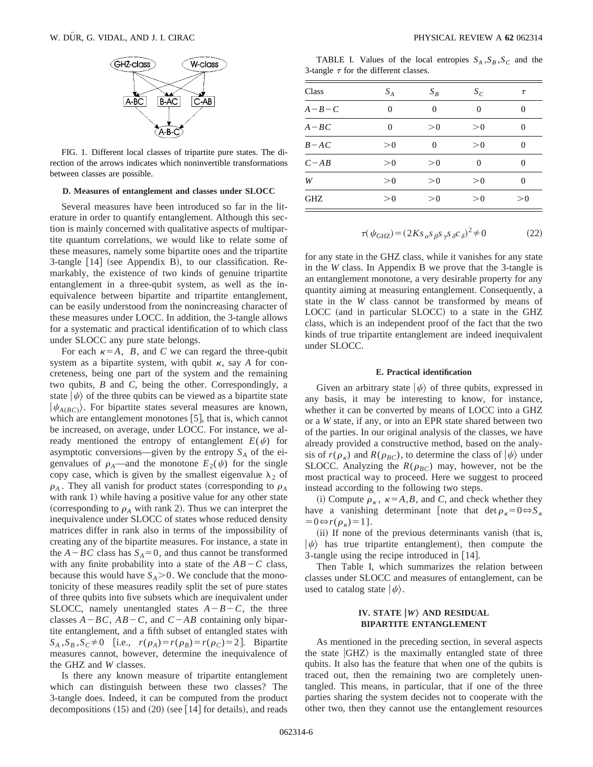

FIG. 1. Different local classes of tripartite pure states. The direction of the arrows indicates which noninvertible transformations between classes are possible.

#### **D. Measures of entanglement and classes under SLOCC**

Several measures have been introduced so far in the literature in order to quantify entanglement. Although this section is mainly concerned with qualitative aspects of multipartite quantum correlations, we would like to relate some of these measures, namely some bipartite ones and the tripartite 3-tangle  $[14]$  (see Appendix B), to our classification. Remarkably, the existence of two kinds of genuine tripartite entanglement in a three-qubit system, as well as the inequivalence between bipartite and tripartite entanglement, can be easily understood from the nonincreasing character of these measures under LOCC. In addition, the 3-tangle allows for a systematic and practical identification of to which class under SLOCC any pure state belongs.

For each  $\kappa = A$ , *B*, and *C* we can regard the three-qubit system as a bipartite system, with qubit  $\kappa$ , say *A* for concreteness, being one part of the system and the remaining two qubits, *B* and *C*, being the other. Correspondingly, a state  $|\psi\rangle$  of the three qubits can be viewed as a bipartite state  $|\psi_{A(BC)}\rangle$ . For bipartite states several measures are known, which are entanglement monotones  $[5]$ , that is, which cannot be increased, on average, under LOCC. For instance, we already mentioned the entropy of entanglement  $E(\psi)$  for asymptotic conversions—given by the entropy  $S_A$  of the eigenvalues of  $\rho_A$ —and the monotone  $E_2(\psi)$  for the single copy case, which is given by the smallest eigenvalue  $\lambda_2$  of  $\rho_A$ . They all vanish for product states (corresponding to  $\rho_A$ with rank 1) while having a positive value for any other state (corresponding to  $\rho_A$  with rank 2). Thus we can interpret the inequivalence under SLOCC of states whose reduced density matrices differ in rank also in terms of the impossibility of creating any of the bipartite measures. For instance, a state in the  $A - BC$  class has  $S_A = 0$ , and thus cannot be transformed with any finite probability into a state of the  $AB - C$  class, because this would have  $S_A > 0$ . We conclude that the monotonicity of these measures readily split the set of pure states of three qubits into five subsets which are inequivalent under SLOCC, namely unentangled states  $A-B-C$ , the three classes  $A - BC$ ,  $AB - C$ , and  $C - AB$  containing only bipartite entanglement, and a fifth subset of entangled states with  $S_A$ ,  $S_B$ ,  $S_C \neq 0$  [i.e.,  $r(\rho_A) = r(\rho_B) = r(\rho_C) = 2$ ]. Bipartite measures cannot, however, determine the inequivalence of the GHZ and *W* classes.

Is there any known measure of tripartite entanglement which can distinguish between these two classes? The 3-tangle does. Indeed, it can be computed from the product decompositions  $(15)$  and  $(20)$  (see [14] for details), and reads

TABLE I. Values of the local entropies  $S_A$ ,  $S_B$ ,  $S_C$  and the 3-tangle  $\tau$  for the different classes.

| Class       | $S_A$    | $S_B$    | $S_C$    | $\tau$   |
|-------------|----------|----------|----------|----------|
| $A - B - C$ | $\theta$ | $\theta$ | $\theta$ | 0        |
| $A - BC$    | 0        | > 0      | > 0      | 0        |
| $B - AC$    | >0       | $\theta$ | >0       | $\Omega$ |
| $C - AB$    | > 0      | > 0      | $\Omega$ | $\Omega$ |
| W           | >0       | >0       | >0       | $\theta$ |
| GHZ         | >0       | >0       | >0       | >0       |

$$
\tau(\psi_{\text{GHZ}}) = (2Ks_{\alpha}s_{\beta}s_{\gamma}s_{\delta}c_{\delta})^2 \neq 0 \tag{22}
$$

for any state in the GHZ class, while it vanishes for any state in the *W* class. In Appendix B we prove that the 3-tangle is an entanglement monotone, a very desirable property for any quantity aiming at measuring entanglement. Consequently, a state in the *W* class cannot be transformed by means of LOCC (and in particular SLOCC) to a state in the GHZ class, which is an independent proof of the fact that the two kinds of true tripartite entanglement are indeed inequivalent under SLOCC.

## **E. Practical identification**

Given an arbitrary state  $|\psi\rangle$  of three qubits, expressed in any basis, it may be interesting to know, for instance, whether it can be converted by means of LOCC into a GHZ or a *W* state, if any, or into an EPR state shared between two of the parties. In our original analysis of the classes, we have already provided a constructive method, based on the analysis of  $r(\rho_K)$  and  $R(\rho_{BC})$ , to determine the class of  $|\psi\rangle$  under SLOCC. Analyzing the  $R(\rho_{BC})$  may, however, not be the most practical way to proceed. Here we suggest to proceed instead according to the following two steps.

(i) Compute  $\rho_{\kappa}$ ,  $\kappa = A, B$ , and *C*, and check whether they have a vanishing determinant [note that det  $\rho_{\kappa} = 0 \Leftrightarrow S_{\kappa}$  $=0 \Leftrightarrow r(\rho_{\kappa})=1$ .

(ii) If none of the previous determinants vanish (that is,  $|\psi\rangle$  has true tripartite entanglement), then compute the 3-tangle using the recipe introduced in  $[14]$ .

Then Table I, which summarizes the relation between classes under SLOCC and measures of entanglement, can be used to catalog state  $|\psi\rangle$ .

# **IV. STATE**  $|W\rangle$  **AND RESIDUAL BIPARTITE ENTANGLEMENT**

As mentioned in the preceding section, in several aspects the state  $|GHZ\rangle$  is the maximally entangled state of three qubits. It also has the feature that when one of the qubits is traced out, then the remaining two are completely unentangled. This means, in particular, that if one of the three parties sharing the system decides not to cooperate with the other two, then they cannot use the entanglement resources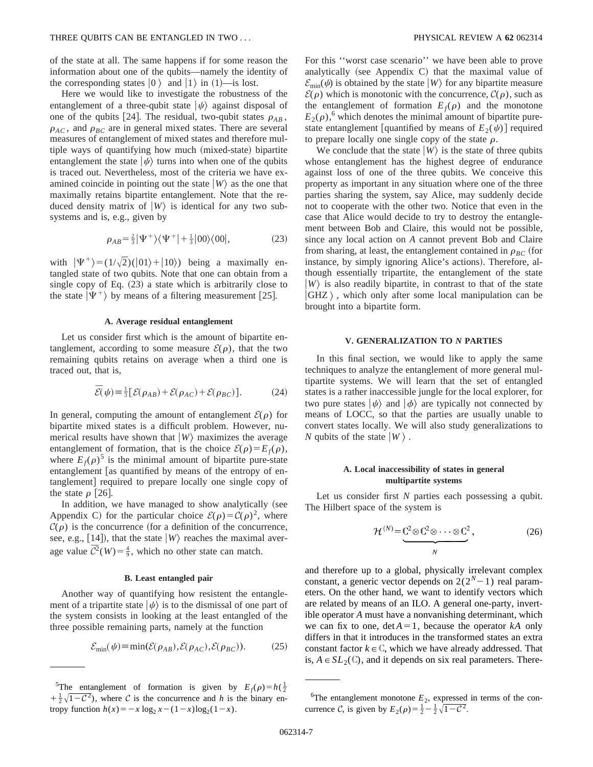of the state at all. The same happens if for some reason the information about one of the qubits—namely the identity of the corresponding states  $|0\rangle$  and  $|1\rangle$  in  $(1)$ —is lost.

Here we would like to investigate the robustness of the entanglement of a three-qubit state  $|\psi\rangle$  against disposal of one of the qubits [24]. The residual, two-qubit states  $\rho_{AB}$ ,  $\rho_{AC}$ , and  $\rho_{BC}$  are in general mixed states. There are several measures of entanglement of mixed states and therefore multiple ways of quantifying how much (mixed-state) bipartite entanglement the state  $|\psi\rangle$  turns into when one of the qubits is traced out. Nevertheless, most of the criteria we have examined coincide in pointing out the state  $|W\rangle$  as the one that maximally retains bipartite entanglement. Note that the reduced density matrix of  $|W\rangle$  is identical for any two subsystems and is, e.g., given by

$$
\rho_{AB} = \frac{2}{3} |\Psi^+ \rangle \langle \Psi^+ | + \frac{1}{3} |00 \rangle \langle 00|, \tag{23}
$$

with  $|\Psi^+\rangle = (1/\sqrt{2})(|01\rangle+|10\rangle)$  being a maximally entangled state of two qubits. Note that one can obtain from a single copy of Eq.  $(23)$  a state which is arbitrarily close to the state  $|\Psi^+\rangle$  by means of a filtering measurement [25].

### **A. Average residual entanglement**

Let us consider first which is the amount of bipartite entanglement, according to some measure  $\mathcal{E}(\rho)$ , that the two remaining qubits retains on average when a third one is traced out, that is,

$$
\overline{\mathcal{E}}(\psi) \equiv \frac{1}{3} [\mathcal{E}(\rho_{AB}) + \mathcal{E}(\rho_{AC}) + \mathcal{E}(\rho_{BC})]. \tag{24}
$$

In general, computing the amount of entanglement  $\mathcal{E}(\rho)$  for bipartite mixed states is a difficult problem. However, numerical results have shown that  $|W\rangle$  maximizes the average entanglement of formation, that is the choice  $\mathcal{E}(\rho) = E_f(\rho)$ , where  $E_f(\rho)^5$  is the minimal amount of bipartite pure-state entanglement [as quantified by means of the entropy of entanglement] required to prepare locally one single copy of the state  $\rho$  [26].

In addition, we have managed to show analytically (see Appendix C) for the particular choice  $\mathcal{E}(\rho) = C(\rho)^2$ , where  $C(\rho)$  is the concurrence (for a definition of the concurrence, see, e.g., [14]), that the state  $|W\rangle$  reaches the maximal average value  $\overline{C}^2(W) = \frac{4}{9}$ , which no other state can match.

#### **B. Least entangled pair**

Another way of quantifying how resistent the entanglement of a tripartite state  $|\psi\rangle$  is to the dismissal of one part of the system consists in looking at the least entangled of the three possible remaining parts, namely at the function

$$
\mathcal{E}_{\min}(\psi) \equiv \min(\mathcal{E}(\rho_{AB}), \mathcal{E}(\rho_{AC}), \mathcal{E}(\rho_{BC})). \tag{25}
$$

For this ''worst case scenario'' we have been able to prove analytically (see Appendix C) that the maximal value of  $\mathcal{E}_{\text{min}}(\psi)$  is obtained by the state  $|W\rangle$  for any bipartite measure  $\mathcal{E}(\rho)$  which is monotonic with the concurrence,  $\mathcal{C}(\rho)$ , such as the entanglement of formation  $E_f(\rho)$  and the monotone  $E_2(\rho)$ ,<sup>6</sup> which denotes the minimal amount of bipartite purestate entanglement [quantified by means of  $E_2(\psi)$ ] required to prepare locally one single copy of the state  $\rho$ .

We conclude that the state  $|W\rangle$  is the state of three qubits whose entanglement has the highest degree of endurance against loss of one of the three qubits. We conceive this property as important in any situation where one of the three parties sharing the system, say Alice, may suddenly decide not to cooperate with the other two. Notice that even in the case that Alice would decide to try to destroy the entanglement between Bob and Claire, this would not be possible, since any local action on *A* cannot prevent Bob and Claire from sharing, at least, the entanglement contained in  $\rho_{BC}$  (for instance, by simply ignoring Alice's actions). Therefore, although essentially tripartite, the entanglement of the state  $\ket{W}$  is also readily bipartite, in contrast to that of the state  $|GHZ\rangle$ , which only after some local manipulation can be brought into a bipartite form.

## **V. GENERALIZATION TO** *N* **PARTIES**

In this final section, we would like to apply the same techniques to analyze the entanglement of more general multipartite systems. We will learn that the set of entangled states is a rather inaccessible jungle for the local explorer, for two pure states  $|\psi\rangle$  and  $|\phi\rangle$  are typically not connected by means of LOCC, so that the parties are usually unable to convert states locally. We will also study generalizations to *N* qubits of the state  $|W\rangle$ .

# **A. Local inaccessibility of states in general multipartite systems**

Let us consider first *N* parties each possessing a qubit. The Hilbert space of the system is

$$
\mathcal{H}^{(N)} = \underbrace{C^2 \otimes C^2 \otimes \cdots \otimes C^2}_{N}, \qquad (26)
$$

and therefore up to a global, physically irrelevant complex constant, a generic vector depends on  $2(2<sup>N</sup>-1)$  real parameters. On the other hand, we want to identify vectors which are related by means of an ILO. A general one-party, invertible operator *A* must have a nonvanishing determinant, which we can fix to one,  $\det A = 1$ , because the operator *kA* only differs in that it introduces in the transformed states an extra constant factor  $k \in \mathbb{C}$ , which we have already addressed. That is,  $A \in SL_2(\mathbb{C})$ , and it depends on six real parameters. There-

<sup>&</sup>lt;sup>5</sup>The entanglement of formation is given by  $E_f(\rho) = h(\frac{1}{2})$  $+\frac{1}{2}\sqrt{1-\mathcal{C}^2}$ , where C is the concurrence and h is the binary entropy function  $h(x) = -x \log_2 x - (1-x) \log_2(1-x)$ .

 ${}^{6}$ The entanglement monotone  $E_2$ , expressed in terms of the concurrence C, is given by  $E_2(\rho) = \frac{1}{2} - \frac{1}{2} \sqrt{1 - C^2}$ .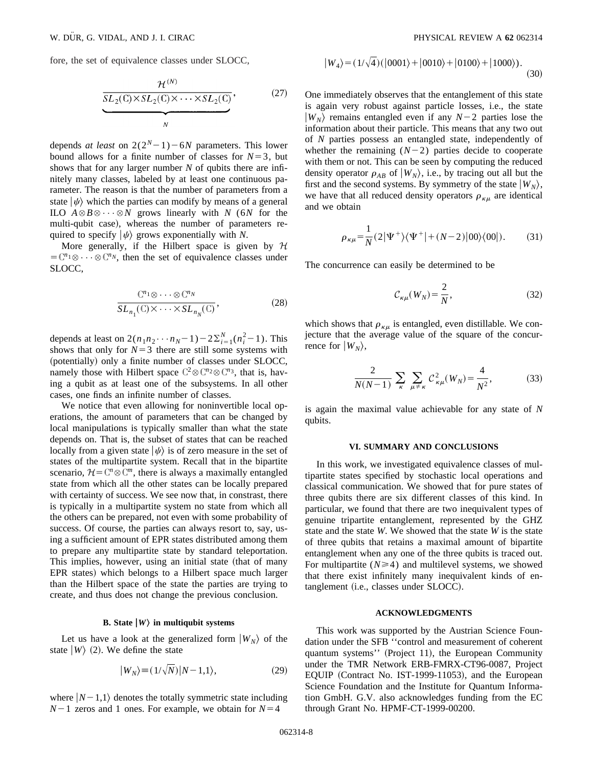fore, the set of equivalence classes under SLOCC,

$$
\underbrace{\frac{\mathcal{H}^{(N)}}{SL_2(\mathbb{C}) \times SL_2(\mathbb{C})},\qquad(27)}_{N}
$$

depends *at least* on  $2(2^N-1)-6N$  parameters. This lower bound allows for a finite number of classes for  $N=3$ , but shows that for any larger number *N* of qubits there are infinitely many classes, labeled by at least one continuous parameter. The reason is that the number of parameters from a state  $|\psi\rangle$  which the parties can modify by means of a general ILO  $A \otimes B \otimes \cdots \otimes N$  grows linearly with *N* (6*N* for the multi-qubit case), whereas the number of parameters required to specify  $|\psi\rangle$  grows exponentially with *N*.

More generally, if the Hilbert space is given by  $H$  $= \mathbb{C}^{n_1} \otimes \cdots \otimes \mathbb{C}^{n_N}$ , then the set of equivalence classes under SLOCC,

$$
\frac{\mathbb{C}^{n_1} \otimes \cdots \otimes \mathbb{C}^{n_N}}{SL_{n_1}(\mathbb{C}) \times \cdots \times SL_{n_N}(\mathbb{C})},\tag{28}
$$

depends at least on  $2(n_1n_2 \cdots n_N-1) - 2\Sigma_{i=1}^N (n_i^2 - 1)$ . This shows that only for  $N=3$  there are still some systems with (potentially) only a finite number of classes under SLOCC, namely those with Hilbert space  $C^2 \otimes C^n 2 \otimes C^n 3$ , that is, having a qubit as at least one of the subsystems. In all other cases, one finds an infinite number of classes.

We notice that even allowing for noninvertible local operations, the amount of parameters that can be changed by local manipulations is typically smaller than what the state depends on. That is, the subset of states that can be reached locally from a given state  $|\psi\rangle$  is of zero measure in the set of states of the multipartite system. Recall that in the bipartite scenario,  $\mathcal{H} = \mathbb{C}^n \otimes \mathbb{C}^m$ , there is always a maximally entangled state from which all the other states can be locally prepared with certainty of success. We see now that, in constrast, there is typically in a multipartite system no state from which all the others can be prepared, not even with some probability of success. Of course, the parties can always resort to, say, using a sufficient amount of EPR states distributed among them to prepare any multipartite state by standard teleportation. This implies, however, using an initial state (that of many EPR states) which belongs to a Hilbert space much larger than the Hilbert space of the state the parties are trying to create, and thus does not change the previous conclusion.

#### **B.** State  $|W\rangle$  in multiqubit systems

Let us have a look at the generalized form  $|W_N\rangle$  of the state  $\ket{W}$  (2). We define the state

$$
|W_N\rangle \equiv (1/\sqrt{N})|N-1,1\rangle, \tag{29}
$$

where  $|N-1,1\rangle$  denotes the totally symmetric state including  $N-1$  zeros and 1 ones. For example, we obtain for  $N=4$ 

$$
|W_4\rangle = (1/\sqrt{4})(|0001\rangle + |0010\rangle + |0100\rangle + |1000\rangle). \tag{30}
$$

One immediately observes that the entanglement of this state is again very robust against particle losses, i.e., the state  $|W_N\rangle$  remains entangled even if any  $N-2$  parties lose the information about their particle. This means that any two out of *N* parties possess an entangled state, independently of whether the remaining  $(N-2)$  parties decide to cooperate with them or not. This can be seen by computing the reduced density operator  $\rho_{AB}$  of  $|W_N\rangle$ , i.e., by tracing out all but the first and the second systems. By symmetry of the state  $|W_N\rangle$ , we have that all reduced density operators  $\rho_{\kappa\mu}$  are identical and we obtain

$$
\rho_{\kappa\mu} = \frac{1}{N} (2|\Psi^+\rangle\langle\Psi^+| + (N-2)|00\rangle\langle00|). \tag{31}
$$

The concurrence can easily be determined to be

$$
\mathcal{C}_{\kappa\mu}(W_N) = \frac{2}{N},\tag{32}
$$

which shows that  $\rho_{\kappa\mu}$  is entangled, even distillable. We conjecture that the average value of the square of the concurrence for  $|W_N\rangle$ ,

$$
\frac{2}{N(N-1)} \sum_{\kappa} \sum_{\mu \neq \kappa} C_{\kappa \mu}^{2}(W_N) = \frac{4}{N^2},
$$
 (33)

is again the maximal value achievable for any state of *N* qubits.

#### **VI. SUMMARY AND CONCLUSIONS**

In this work, we investigated equivalence classes of multipartite states specified by stochastic local operations and classical communication. We showed that for pure states of three qubits there are six different classes of this kind. In particular, we found that there are two inequivalent types of genuine tripartite entanglement, represented by the GHZ state and the state *W*. We showed that the state *W* is the state of three qubits that retains a maximal amount of bipartite entanglement when any one of the three qubits is traced out. For multipartite  $(N \geq 4)$  and multilevel systems, we showed that there exist infinitely many inequivalent kinds of entanglement (i.e., classes under SLOCC).

## **ACKNOWLEDGMENTS**

This work was supported by the Austrian Science Foundation under the SFB ''control and measurement of coherent quantum systems'' (Project 11), the European Community under the TMR Network ERB-FMRX-CT96-0087, Project EQUIP (Contract No. IST-1999-11053), and the European Science Foundation and the Institute for Quantum Information GmbH. G.V. also acknowledges funding from the EC through Grant No. HPMF-CT-1999-00200.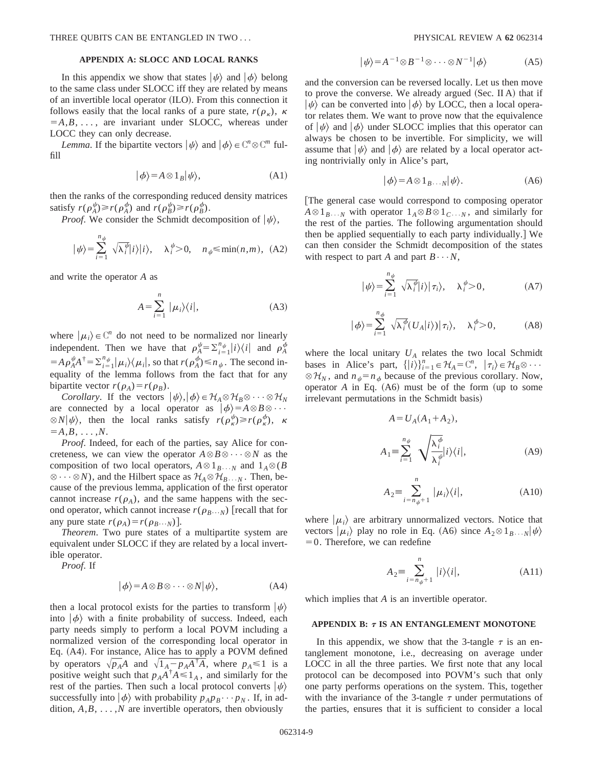## **APPENDIX A: SLOCC AND LOCAL RANKS**

In this appendix we show that states  $|\psi\rangle$  and  $|\phi\rangle$  belong to the same class under SLOCC iff they are related by means of an invertible local operator (ILO). From this connection it follows easily that the local ranks of a pure state,  $r(\rho_k)$ ,  $\kappa$  $=$ *A*,*B*, ..., are invariant under SLOCC, whereas under LOCC they can only decrease.

*Lemma*. If the bipartite vectors  $|\psi\rangle$  and  $|\phi\rangle \in \mathbb{C}^n \otimes \mathbb{C}^m$  fulfill

$$
|\phi\rangle = A \otimes 1_B |\psi\rangle, \tag{A1}
$$

then the ranks of the corresponding reduced density matrices satisfy  $r(\rho_A^{\psi}) \ge r(\rho_A^{\phi})$  and  $r(\rho_B^{\psi}) \ge r(\rho_B^{\phi})$ .

*Proof.* We consider the Schmidt decomposition of  $|\psi\rangle$ ,

$$
|\psi\rangle = \sum_{i=1}^{n_{\psi}} \sqrt{\lambda_i^{\psi}} |i\rangle |i\rangle, \quad \lambda_i^{\psi} > 0, \quad n_{\psi} \le \min(n, m), \text{ (A2)}
$$

and write the operator *A* as

$$
A = \sum_{i=1}^{n} |\mu_i\rangle\langle i|,\tag{A3}
$$

where  $|\mu_i\rangle \in \mathbb{C}^n$  do not need to be normalized nor linearly independent. Then we have that  $\rho_A^{\psi} = \sum_{i=1}^{n_{\psi}} |i\rangle\langle i|$  and  $\rho_A^{\phi}$  $= A \rho_A^{\psi} A^{\dagger} = \sum_{i=1}^{n_{\psi}} |\mu_i\rangle\langle\mu_i|$ , so that  $r(\rho_A^{\phi}) \leq n_{\psi}$ . The second inequality of the lemma follows from the fact that for any bipartite vector  $r(\rho_A) = r(\rho_B)$ .

*Corollary*. If the vectors  $|\psi\rangle, |\phi\rangle \in \mathcal{H}_A \otimes \mathcal{H}_B \otimes \cdots \otimes \mathcal{H}_N$ are connected by a local operator as  $|\phi\rangle = A \otimes B \otimes \cdots$  $\otimes N|\psi\rangle$ , then the local ranks satisfy  $r(\rho^{\psi}_\kappa) \ge r(\rho^{\phi}_\kappa)$ ,  $\kappa$  $=A,B,\ldots,N.$ 

*Proof*. Indeed, for each of the parties, say Alice for concreteness, we can view the operator  $A \otimes B \otimes \cdots \otimes N$  as the composition of two local operators,  $A \otimes 1_{B\cdots N}$  and  $1_A \otimes (B \otimes I)$  $\otimes \cdots \otimes N$ , and the Hilbert space as  $\mathcal{H}_A \otimes \mathcal{H}_{B\dots N}$ . Then, because of the previous lemma, application of the first operator cannot increase  $r(\rho_A)$ , and the same happens with the second operator, which cannot increase  $r(\rho_{B\cdots N})$  [recall that for any pure state  $r(\rho_A) = r(\rho_B \dots N)$ .

*Theorem*. Two pure states of a multipartite system are equivalent under SLOCC if they are related by a local invertible operator.

*Proof*. If

$$
|\phi\rangle = A \otimes B \otimes \cdots \otimes N|\psi\rangle, \tag{A4}
$$

then a local protocol exists for the parties to transform  $|\psi\rangle$ into  $|\phi\rangle$  with a finite probability of success. Indeed, each party needs simply to perform a local POVM including a normalized version of the corresponding local operator in Eq. (A4). For instance, Alice has to apply a POVM defined by operators  $\sqrt{p_A}A$  and  $\sqrt{1_A-p_A}A^{\dagger}A$ , where  $p_A \le 1$  is a positive weight such that  $p_A A^{\dagger} A \leq 1_A$ , and similarly for the rest of the parties. Then such a local protocol converts  $|\psi\rangle$ successfully into  $|\phi\rangle$  with probability  $p_A p_B \cdots p_N$ . If, in addition,  $A, B, \ldots, N$  are invertible operators, then obviously

$$
|\psi\rangle = A^{-1} \otimes B^{-1} \otimes \cdots \otimes N^{-1} |\phi\rangle
$$
 (A5)

and the conversion can be reversed locally. Let us then move to prove the converse. We already argued  $(Sec.  $\Pi A$ ) that if$  $|\psi\rangle$  can be converted into  $|\phi\rangle$  by LOCC, then a local operator relates them. We want to prove now that the equivalence of  $|\psi\rangle$  and  $|\phi\rangle$  under SLOCC implies that this operator can always be chosen to be invertible. For simplicity, we will assume that  $|\psi\rangle$  and  $|\phi\rangle$  are related by a local operator acting nontrivially only in Alice's part,

$$
|\phi\rangle = A \otimes 1_{B\cdots N} |\psi\rangle. \tag{A6}
$$

[The general case would correspond to composing operator  $A \otimes 1_{B\dots N}$  with operator  $1_A \otimes B \otimes 1_{C\dots N}$ , and similarly for the rest of the parties. The following argumentation should then be applied sequentially to each party individually. We can then consider the Schmidt decomposition of the states with respect to part *A* and part  $B \cdots N$ ,

$$
|\psi\rangle = \sum_{i=1}^{n_{\psi}} \sqrt{\lambda_i^{\psi}} |i\rangle |\tau_i\rangle, \quad \lambda_i^{\psi} > 0,
$$
 (A7)

$$
|\phi\rangle = \sum_{i=1}^{n_{\phi}} \sqrt{\lambda_i^{\phi}} (U_A|i\rangle) |\tau_i\rangle, \quad \lambda_i^{\phi} > 0,
$$
 (A8)

where the local unitary  $U_A$  relates the two local Schmidt bases in Alice's part,  $\{|i\rangle\}_{i=1}^n \in \mathcal{H}_A = \mathbb{C}^n$ ,  $|\tau_i\rangle \in \mathcal{H}_B \otimes \cdots$  $\otimes$   $\mathcal{H}_N$ , and  $n_{\psi} = n_{\phi}$  because of the previous corollary. Now, operator  $A$  in Eq.  $(A6)$  must be of the form  $(up to some$ irrelevant permutations in the Schmidt basis)

$$
A = U_A(A_1 + A_2),
$$
  
\n
$$
A_1 = \sum_{i=1}^{n_{\psi}} \sqrt{\frac{\lambda_i^{\phi}}{\lambda_i^{\psi}}} |i\rangle\langle i|,
$$
 (A9)

$$
A_2 = \sum_{i=n_{\psi}+1}^{n} |\mu_i\rangle\langle i|, \tag{A10}
$$

where  $|\mu_i\rangle$  are arbitrary unnormalized vectors. Notice that vectors  $|\mu_i\rangle$  play no role in Eq. (A6) since  $A_2 \otimes 1_{B\dots N} |\psi\rangle$  $=0$ . Therefore, we can redefine

$$
A_2 = \sum_{i=n_{\psi}+1}^{n} |i\rangle\langle i|, \tag{A11}
$$

which implies that *A* is an invertible operator.

## **APPENDIX B:**  $\tau$  **IS AN ENTANGLEMENT MONOTONE**

In this appendix, we show that the 3-tangle  $\tau$  is an entanglement monotone, i.e., decreasing on average under LOCC in all the three parties. We first note that any local protocol can be decomposed into POVM's such that only one party performs operations on the system. This, together with the invariance of the 3-tangle  $\tau$  under permutations of the parties, ensures that it is sufficient to consider a local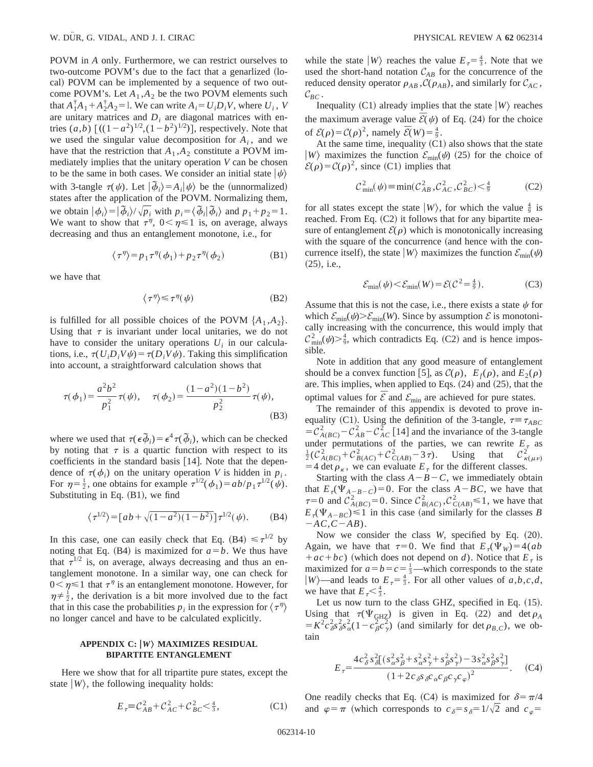POVM in *A* only. Furthermore, we can restrict ourselves to two-outcome POVM's due to the fact that a genarlized (local) POVM can be implemented by a sequence of two outcome POVM's. Let  $A_1$ ,  $A_2$  be the two POVM elements such that  $A_1^{\dagger}A_1 + A_2^{\dagger}A_2 = l$ . We can write  $A_i = U_i D_i V$ , where  $U_i$ , V are unitary matrices and  $D_i$  are diagonal matrices with entries  $(a,b)$   $[((1-a^2)^{1/2}, (1-b^2)^{1/2})]$ , respectively. Note that we used the singular value decomposition for  $A_i$ , and we have that the restriction that  $A_1$ ,  $A_2$  constitute a POVM immediately implies that the unitary operation *V* can be chosen to be the same in both cases. We consider an initial state  $|\psi\rangle$ with 3-tangle  $\tau(\psi)$ . Let  $|\phi_i\rangle = A_i|\psi\rangle$  be the (unnormalized) states after the application of the POVM. Normalizing them, we obtain  $|\phi_i\rangle = |\tilde{\phi}_i\rangle / \sqrt{p_i}$  with  $p_i = \langle \tilde{\phi}_i | \tilde{\phi}_i \rangle$  and  $p_1 + p_2 = 1$ . We want to show that  $\tau^{\eta}$ ,  $0 < \eta \le 1$  is, on average, always decreasing and thus an entanglement monotone, i.e., for

$$
\langle \tau^{\eta} \rangle = p_1 \tau^{\eta}(\phi_1) + p_2 \tau^{\eta}(\phi_2)
$$
 (B1)

we have that

$$
\langle \tau^{\eta} \rangle \leq \tau^{\eta}(\psi) \tag{B2}
$$

is fulfilled for all possible choices of the POVM  $\{A_1, A_2\}$ . Using that  $\tau$  is invariant under local unitaries, we do not have to consider the unitary operations  $U_i$  in our calculations, i.e.,  $\tau(U_iD_iV\psi) = \tau(D_iV\psi)$ . Taking this simplification into account, a straightforward calculation shows that

$$
\tau(\phi_1) = \frac{a^2 b^2}{p_1^2} \tau(\psi), \quad \tau(\phi_2) = \frac{(1 - a^2)(1 - b^2)}{p_2^2} \tau(\psi),
$$
\n(B3)

where we used that  $\tau(\epsilon \tilde{\phi}_i) = \epsilon^4 \tau(\tilde{\phi}_i)$ , which can be checked by noting that  $\tau$  is a quartic function with respect to its coefficients in the standard basis  $[14]$ . Note that the dependence of  $\tau(\phi_i)$  on the unitary operation *V* is hidden in  $p_i$ . For  $\eta = \frac{1}{2}$ , one obtains for example  $\tau^{1/2}(\phi_1) = ab/p_1 \tau^{1/2}(\psi)$ . Substituting in Eq.  $(B1)$ , we find

$$
\langle \tau^{1/2} \rangle = [ab + \sqrt{(1 - a^2)(1 - b^2)}] \tau^{1/2}(\psi). \tag{B4}
$$

In this case, one can easily check that Eq. (B4)  $\leq \tau^{1/2}$  by noting that Eq.  $(B4)$  is maximized for  $a=b$ . We thus have that  $\tau^{1/2}$  is, on average, always decreasing and thus an entanglement monotone. In a similar way, one can check for  $0 \le \eta \le 1$  that  $\tau^{\eta}$  is an entanglement monotone. However, for  $\eta \neq \frac{1}{2}$ , the derivation is a bit more involved due to the fact that in this case the probabilities  $p_i$  in the expression for  $\langle \tau^{\eta} \rangle$ no longer cancel and have to be calculated explicitly.

# **APPENDIX C: W/ MAXIMIZES RESIDUAL BIPARTITE ENTANGLEMENT**

Here we show that for all tripartite pure states, except the state  $|W\rangle$ , the following inequality holds:

while the state  $|W\rangle$  reaches the value  $E_{\tau} = \frac{4}{3}$ . Note that we used the short-hand notation  $C_{AB}$  for the concurrence of the reduced density operator  $\rho_{AB}$ ,  $C(\rho_{AB})$ , and similarly for  $C_{AC}$ ,  $\mathcal{C}_{BC}$ .

Inequality  $(C1)$  already implies that the state  $|W\rangle$  reaches the maximum average value  $\bar{\mathcal{E}}(\psi)$  of Eq. (24) for the choice of  $\mathcal{E}(\rho) = \mathcal{C}(\rho)^2$ , namely  $\overline{\mathcal{E}}(W) = \frac{4}{9}$ .

At the same time, inequality  $(C1)$  also shows that the state  $|W\rangle$  maximizes the function  $\mathcal{E}_{min}(\psi)$  (25) for the choice of  $\mathcal{E}(\rho) = \mathcal{C}(\rho)^2$ , since (C1) implies that

$$
C_{\min}^2(\psi) \equiv \min(C_{AB}^2, C_{AC}^2, C_{BC}^2) < \frac{4}{9}
$$
 (C2)

for all states except the state  $|W\rangle$ , for which the value  $\frac{4}{9}$  is reached. From Eq.  $(C2)$  it follows that for any bipartite measure of entanglement  $\mathcal{E}(\rho)$  which is monotonically increasing with the square of the concurrence (and hence with the concurrence itself), the state  $|W\rangle$  maximizes the function  $\mathcal{E}_{min}(\psi)$  $(25)$ , i.e.,

$$
\mathcal{E}_{\min}(\psi) \!<\! \mathcal{E}_{\min}(W) \!=\! \mathcal{E}(\mathcal{C}^2 \!=\! \frac{4}{9}).\tag{C3}
$$

Assume that this is not the case, i.e., there exists a state  $\psi$  for which  $\mathcal{E}_{\min}(\psi) > \mathcal{E}_{\min}(W)$ . Since by assumption  $\mathcal E$  is monotonically increasing with the concurrence, this would imply that  $\mathcal{C}_{\text{min}}^2(\psi) > \frac{4}{9}$ , which contradicts Eq. (C2) and is hence impossible.

Note in addition that any good measure of entanglement should be a convex function [5], as  $C(\rho)$ ,  $E_f(\rho)$ , and  $E_2(\rho)$ are. This implies, when applied to Eqs.  $(24)$  and  $(25)$ , that the optimal values for  $\overline{\mathcal{E}}$  and  $\mathcal{E}_{\text{min}}$  are achieved for pure states.

The remainder of this appendix is devoted to prove inequality (C1). Using the definition of the 3-tangle,  $\tau = \tau_{ABC}$  $= C_{A(BC)}^2 - C_{AB}^2 - C_{AC}^2$  [14] and the invariance of the 3-tangle under permutations of the parties, we can rewrite  $E<sub>\tau</sub>$  as  $\frac{1}{2}(\mathcal{C}_{A(BC)}^{2}+\mathcal{C}_{B(AC)}^{2}+\mathcal{C}_{C(AB)}^{2}-3\tau)$ . Using that  $\mathcal{C}_{\kappa(\mu\nu)}^{2}$  $=$  4 det  $\rho_{\kappa}$ , we can evaluate  $E_{\tau}$  for the different classes.

Starting with the class  $A - B - C$ , we immediately obtain that  $E_{\tau}(\Psi_{A-B-C})=0$ . For the class  $A-BC$ , we have that  $\tau=0$  and  $C_{A(BC)}^2=0$ . Since  $C_{B(AC)}^2$ ,  $C_{C(AB)}^2\leq 1$ , we have that  $E_{\tau}(\Psi_{A-BC}) \le 1$  in this case (and similarly for the classes *B*  $-AC$ ,  $C-AB$ ).

Now we consider the class *W*, specified by Eq.  $(20)$ . Again, we have that  $\tau=0$ . We find that  $E_{\tau}(\Psi_{W})=4(ab)$  $+ac+bc$ ) (which does not depend on *d*). Notice that  $E<sub>7</sub>$  is maximized for  $a=b=c=\frac{1}{3}$ —which corresponds to the state  $|W\rangle$ —and leads to  $E_{\tau} = \frac{4}{3}$ . For all other values of *a*,*b*,*c*,*d*, we have that  $E_7 < \frac{4}{3}$ .

Let us now turn to the class GHZ, specified in Eq.  $(15)$ . Using that  $\tau(\Psi_{\text{GHZ}})$  is given in Eq. (22) and det  $\rho_A$  $= K^2 c_\delta^2 s_\delta^2 \zeta_a^2 (1 - c_\beta^2 c_\gamma^2)$  (and similarly for det  $\rho_{B,C}$ ), we obtain

$$
E_{\tau} = \frac{4c_{\delta}^{2} s_{\delta}^{2} [(s_{\alpha}^{2} s_{\beta}^{2} + s_{\alpha}^{2} s_{\gamma}^{2} + s_{\beta}^{2} s_{\gamma}^{2}) - 3s_{\alpha}^{2} s_{\beta}^{2} s_{\gamma}^{2}]}{(1 + 2c_{\delta} s_{\delta} c_{\alpha} c_{\beta} c_{\gamma} c_{\varphi})^{2}}.
$$
 (C4)

One readily checks that Eq. (C4) is maximized for  $\delta = \pi/4$ and  $\varphi = \pi$  (which corresponds to  $c_{\delta} = s_{\delta} = 1/\sqrt{2}$  and  $c_{\varphi} =$ 

$$
E_{\tau} = C_{AB}^2 + C_{AC}^2 + C_{BC}^2 < \frac{4}{3}, \tag{C1}
$$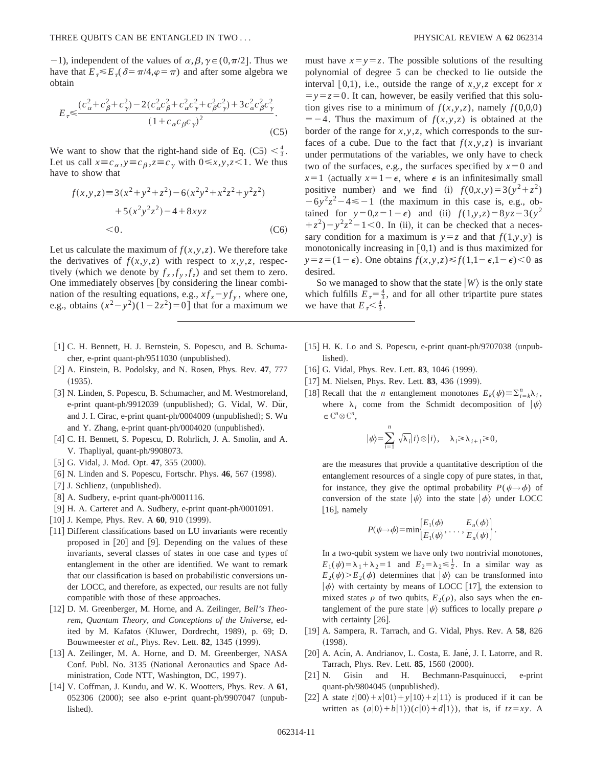$-1$ ), independent of the values of  $\alpha, \beta, \gamma \in (0,\pi/2]$ . Thus we have that  $E_{\tau} \leq E_{\tau}(\delta = \pi/4, \varphi = \pi)$  and after some algebra we obtain

$$
E_{\tau} \le \frac{(c_{\alpha}^{2} + c_{\beta}^{2} + c_{\gamma}^{2}) - 2(c_{\alpha}^{2}c_{\beta}^{2} + c_{\alpha}^{2}c_{\gamma}^{2} + c_{\beta}^{2}c_{\gamma}^{2}) + 3c_{\alpha}^{2}c_{\beta}^{2}c_{\gamma}^{2}}{(1 + c_{\alpha}c_{\beta}c_{\gamma})^{2}}.
$$
\n(C5)

We want to show that the right-hand side of Eq. (C5)  $\lt^{\frac{4}{3}}$ . Let us call  $x \equiv c_{\alpha}$ ,  $y \equiv c_{\beta}$ ,  $z \equiv c_{\gamma}$  with  $0 \le x, y, z \le 1$ . We thus have to show that

$$
f(x,y,z) \equiv 3(x^2 + y^2 + z^2) - 6(x^2y^2 + x^2z^2 + y^2z^2)
$$
  
+ 5(x^2y^2z^2) - 4 + 8xyz  
< 0. (C6)

Let us calculate the maximum of  $f(x, y, z)$ . We therefore take the derivatives of  $f(x, y, z)$  with respect to  $x, y, z$ , respectively (which we denote by  $f_x, f_y, f_z$ ) and set them to zero. One immediately observes [by considering the linear combination of the resulting equations, e.g.,  $xf_x - yf_y$ , where one, e.g., obtains  $(x^2-y^2)(1-2z^2)=0$ ] that for a maximum we

- [1] C. H. Bennett, H. J. Bernstein, S. Popescu, and B. Schumacher, e-print quant-ph/9511030 (unpublished).
- @2# A. Einstein, B. Podolsky, and N. Rosen, Phys. Rev. **47**, 777  $(1935).$
- [3] N. Linden, S. Popescu, B. Schumacher, and M. Westmoreland, e-print quant-ph/9912039 (unpublished); G. Vidal, W. Dür, and J. I. Cirac, e-print quant-ph/0004009 (unpublished); S. Wu and Y. Zhang, e-print quant-ph/0004020 (unpublished).
- [4] C. H. Bennett, S. Popescu, D. Rohrlich, J. A. Smolin, and A. V. Thapliyal, quant-ph/9908073.
- [5] G. Vidal, J. Mod. Opt. **47**, 355 (2000).
- [6] N. Linden and S. Popescu, Fortschr. Phys. 46, 567 (1998).
- $[7]$  J. Schlienz, (unpublished).
- $[8]$  A. Sudbery, e-print quant-ph/0001116.
- [9] H. A. Carteret and A. Sudbery, e-print quant-ph/0001091.
- $[10]$  J. Kempe, Phys. Rev. A  $60$ , 910  $(1999)$ .
- [11] Different classifications based on LU invariants were recently proposed in  $[20]$  and  $[9]$ . Depending on the values of these invariants, several classes of states in one case and types of entanglement in the other are identified. We want to remark that our classification is based on probabilistic conversions under LOCC, and therefore, as expected, our results are not fully compatible with those of these approaches.
- [12] D. M. Greenberger, M. Horne, and A. Zeilinger, *Bell's Theorem, Quantum Theory, and Conceptions of the Universe,* edited by M. Kafatos (Kluwer, Dordrecht, 1989), p. 69; D. Bouwmeester *et al.*, Phys. Rev. Lett. **82**, 1345 (1999).
- [13] A. Zeilinger, M. A. Horne, and D. M. Greenberger, NASA Conf. Publ. No. 3135 (National Aeronautics and Space Administration, Code NTT, Washington, DC, 1997).
- [14] V. Coffman, J. Kundu, and W. K. Wootters, Phys. Rev. A 61, 052306 (2000); see also e-print quant-ph/9907047 (unpublished).

must have  $x = y = z$ . The possible solutions of the resulting polynomial of degree 5 can be checked to lie outside the interval  $[0,1)$ , i.e., outside the range of *x*, *y*, *z* except for *x*  $y = y = z = 0$ . It can, however, be easily verified that this solution gives rise to a minimum of  $f(x,y,z)$ , namely  $f(0,0,0)$  $=$  -4. Thus the maximum of  $f(x, y, z)$  is obtained at the border of the range for *x*,*y*,*z*, which corresponds to the surfaces of a cube. Due to the fact that  $f(x, y, z)$  is invariant under permutations of the variables, we only have to check two of the surfaces, e.g., the surfaces specified by  $x=0$  and  $x=1$  (actually  $x=1-\epsilon$ , where  $\epsilon$  is an infinitesimally small positive number) and we find (i)  $f(0, x, y) = 3(y^2 + z^2)$  $-6y^2z^2-4 \le -1$  (the maximum in this case is, e.g., obtained for  $y=0, z=1-\epsilon$ ) and (ii)  $f(1, y, z) = 8yz-3(y^2)$  $(z+z^2)-y^2z^2-1$  < 0. In (ii), it can be checked that a necessary condition for a maximum is  $y = z$  and that  $f(1,y,y)$  is monotonically increasing in  $[0,1)$  and is thus maximized for  $y = z = (1 - \epsilon)$ . One obtains  $f(x, y, z) \le f(1, 1 - \epsilon, 1 - \epsilon) < 0$  as desired.

So we managed to show that the state  $|W\rangle$  is the only state which fulfills  $E_{\tau} = \frac{4}{3}$ , and for all other tripartite pure states we have that  $E_7 < \frac{4}{3}$ .

- $[15]$  H. K. Lo and S. Popescu, e-print quant-ph/9707038 (unpublished).
- $[16]$  G. Vidal, Phys. Rev. Lett. **83**, 1046  $(1999)$ .
- [17] M. Nielsen, Phys. Rev. Lett. **83**, 436 (1999).
- [18] Recall that the *n* entanglement monotones  $E_k(\psi) \equiv \sum_{i=k}^n \lambda_i$ , where  $\lambda_i$  come from the Schmidt decomposition of  $|\psi\rangle$  $\in \mathbb{C}^n \otimes \mathbb{C}^n$ ,

$$
|\psi\rangle = \sum_{i=1}^n \sqrt{\lambda_i} |i\rangle \otimes |i\rangle, \quad \lambda_i \ge \lambda_{i+1} \ge 0,
$$

are the measures that provide a quantitative description of the entanglement resources of a single copy of pure states, in that, for instance, they give the optimal probability  $P(\psi \rightarrow \phi)$  of conversion of the state  $|\psi\rangle$  into the state  $|\phi\rangle$  under LOCC  $[16]$ , namely

$$
P(\psi \rightarrow \phi) = \min \left\{ \frac{E_1(\phi)}{E_1(\psi)}, \ldots, \frac{E_n(\phi)}{E_n(\psi)} \right\}.
$$

In a two-qubit system we have only two nontrivial monotones,  $E_1(\psi) = \lambda_1 + \lambda_2 = 1$  and  $E_2 = \lambda_2 \le \frac{1}{2}$ . In a similar way as  $E_2(\psi)$  >  $E_2(\phi)$  determines that  $|\psi\rangle$  can be transformed into  $|\phi\rangle$  with certainty by means of LOCC [17], the extension to mixed states  $\rho$  of two qubits,  $E_2(\rho)$ , also says when the entanglement of the pure state  $|\psi\rangle$  suffices to locally prepare  $\rho$ with certainty  $[26]$ .

- @19# A. Sampera, R. Tarrach, and G. Vidal, Phys. Rev. A **58**, 826  $(1998)$ .
- [20] A. Acín, A. Andrianov, L. Costa, E. Jané, J. I. Latorre, and R. Tarrach, Phys. Rev. Lett. **85**, 1560 (2000).
- [21] N. Gisin and H. Bechmann-Pasquinucci, e-print quant-ph/9804045 (unpublished).
- [22] A state  $t|00\rangle + x|01\rangle + y|10\rangle + z|11\rangle$  is produced if it can be written as  $(a|0\rangle+b|1\rangle)(c|0\rangle+d|1\rangle)$ , that is, if  $tz=xy$ . A